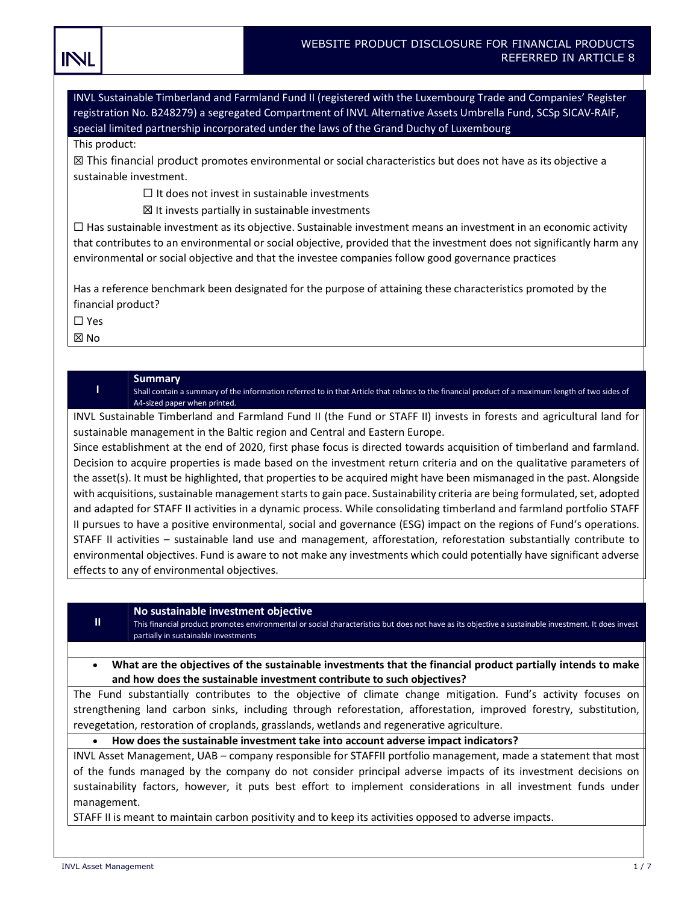| WEBSITE PRODUCT DISCLOSURE FOR FINANCIAL PRODUCTS. |
|----------------------------------------------------|
| REFERRED IN ARTICLE 8                              |

INVL Sustainable Timberland and Farmland Fund II (registered with the Luxembourg Trade and Companies' Register registration No. B248279) a segregated Compartment of INVL Alternative Assets Umbrella Fund, SCSp SICAV-RAIF, special limited partnership incorporated under the laws of the Grand Duchy of Luxembourg

#### This product:

INL

☒ This financial product promotes environmental or social characteristics but does not have as its objective a sustainable investment.

 $\Box$  It does not invest in sustainable investments

 $\boxtimes$  It invests partially in sustainable investments

 $\Box$  Has sustainable investment as its objective. Sustainable investment means an investment in an economic activity that contributes to an environmental or social objective, provided that the investment does not significantly harm any environmental or social objective and that the investee companies follow good governance practices

Has a reference benchmark been designated for the purpose of attaining these characteristics promoted by the financial product?

☐ Yes

☒ No

#### Summary

I Shall contain a summary of the information referred to in that Article that relates to the financial product of a maximum length of two sides of A4-sized paper when printed.

INVL Sustainable Timberland and Farmland Fund II (the Fund or STAFF II) invests in forests and agricultural land for sustainable management in the Baltic region and Central and Eastern Europe.

Since establishment at the end of 2020, first phase focus is directed towards acquisition of timberland and farmland. Decision to acquire properties is made based on the investment return criteria and on the qualitative parameters of the asset(s). It must be highlighted, that properties to be acquired might have been mismanaged in the past. Alongside with acquisitions, sustainable management starts to gain pace. Sustainability criteria are being formulated, set, adopted and adapted for STAFF II activities in a dynamic process. While consolidating timberland and farmland portfolio STAFF II pursues to have a positive environmental, social and governance (ESG) impact on the regions of Fund's operations. STAFF II activities – sustainable land use and management, afforestation, reforestation substantially contribute to environmental objectives. Fund is aware to not make any investments which could potentially have significant adverse effects to any of environmental objectives.

#### No sustainable investment objective

This financial product promotes environmental or social characteristics but does not have as its objective a sustainable investment. It does invest partially in sustainable investments

# What are the objectives of the sustainable investments that the financial product partially intends to make and how does the sustainable investment contribute to such objectives?

The Fund substantially contributes to the objective of climate change mitigation. Fund's activity focuses on strengthening land carbon sinks, including through reforestation, afforestation, improved forestry, substitution, revegetation, restoration of croplands, grasslands, wetlands and regenerative agriculture.

#### How does the sustainable investment take into account adverse impact indicators?

INVL Asset Management, UAB – company responsible for STAFFII portfolio management, made a statement that most of the funds managed by the company do not consider principal adverse impacts of its investment decisions on sustainability factors, however, it puts best effort to implement considerations in all investment funds under management.

STAFF II is meant to maintain carbon positivity and to keep its activities opposed to adverse impacts.

 $\mathbf{II}$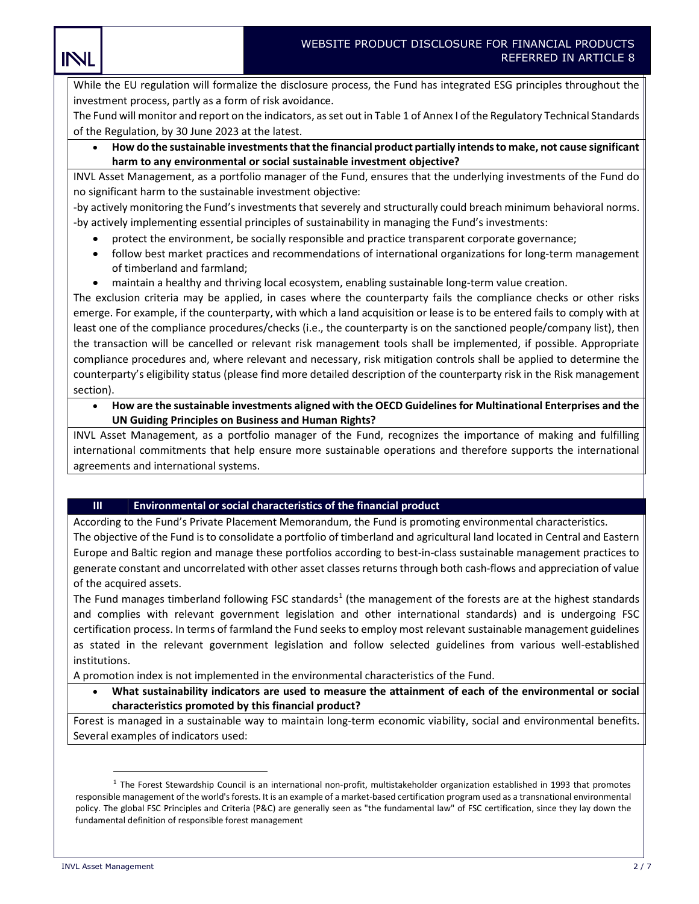While the EU regulation will formalize the disclosure process, the Fund has integrated ESG principles throughout the investment process, partly as a form of risk avoidance.

The Fund will monitor and report on the indicators, as set out in Table 1 of Annex I of the Regulatory Technical Standards of the Regulation, by 30 June 2023 at the latest.

 How do the sustainable investments that the financial product partially intends to make, not cause significant harm to any environmental or social sustainable investment objective?

INVL Asset Management, as a portfolio manager of the Fund, ensures that the underlying investments of the Fund do no significant harm to the sustainable investment objective:

-by actively monitoring the Fund's investments that severely and structurally could breach minimum behavioral norms. -by actively implementing essential principles of sustainability in managing the Fund's investments:

- protect the environment, be socially responsible and practice transparent corporate governance;
- follow best market practices and recommendations of international organizations for long-term management of timberland and farmland;
- maintain a healthy and thriving local ecosystem, enabling sustainable long-term value creation.

The exclusion criteria may be applied, in cases where the counterparty fails the compliance checks or other risks emerge. For example, if the counterparty, with which a land acquisition or lease is to be entered fails to comply with at least one of the compliance procedures/checks (i.e., the counterparty is on the sanctioned people/company list), then the transaction will be cancelled or relevant risk management tools shall be implemented, if possible. Appropriate compliance procedures and, where relevant and necessary, risk mitigation controls shall be applied to determine the counterparty's eligibility status (please find more detailed description of the counterparty risk in the Risk management section).

 How are the sustainable investments aligned with the OECD Guidelines for Multinational Enterprises and the UN Guiding Principles on Business and Human Rights?

INVL Asset Management, as a portfolio manager of the Fund, recognizes the importance of making and fulfilling international commitments that help ensure more sustainable operations and therefore supports the international agreements and international systems.

# III Environmental or social characteristics of the financial product

According to the Fund's Private Placement Memorandum, the Fund is promoting environmental characteristics. The objective of the Fund is to consolidate a portfolio of timberland and agricultural land located in Central and Eastern Europe and Baltic region and manage these portfolios according to best-in-class sustainable management practices to generate constant and uncorrelated with other asset classes returns through both cash-flows and appreciation of value of the acquired assets.

The Fund manages timberland following FSC standards<sup>1</sup> (the management of the forests are at the highest standards and complies with relevant government legislation and other international standards) and is undergoing FSC certification process. In terms of farmland the Fund seeks to employ most relevant sustainable management guidelines as stated in the relevant government legislation and follow selected guidelines from various well-established institutions.

A promotion index is not implemented in the environmental characteristics of the Fund.

 What sustainability indicators are used to measure the attainment of each of the environmental or social characteristics promoted by this financial product?

Forest is managed in a sustainable way to maintain long-term economic viability, social and environmental benefits. Several examples of indicators used:

INL

 $1$  The Forest Stewardship Council is an international non-profit, multistakeholder organization established in 1993 that promotes responsible management of the world's forests. It is an example of a market-based certification program used as a transnational environmental policy. The global FSC Principles and Criteria (P&C) are generally seen as "the fundamental law" of FSC certification, since they lay down the fundamental definition of responsible forest management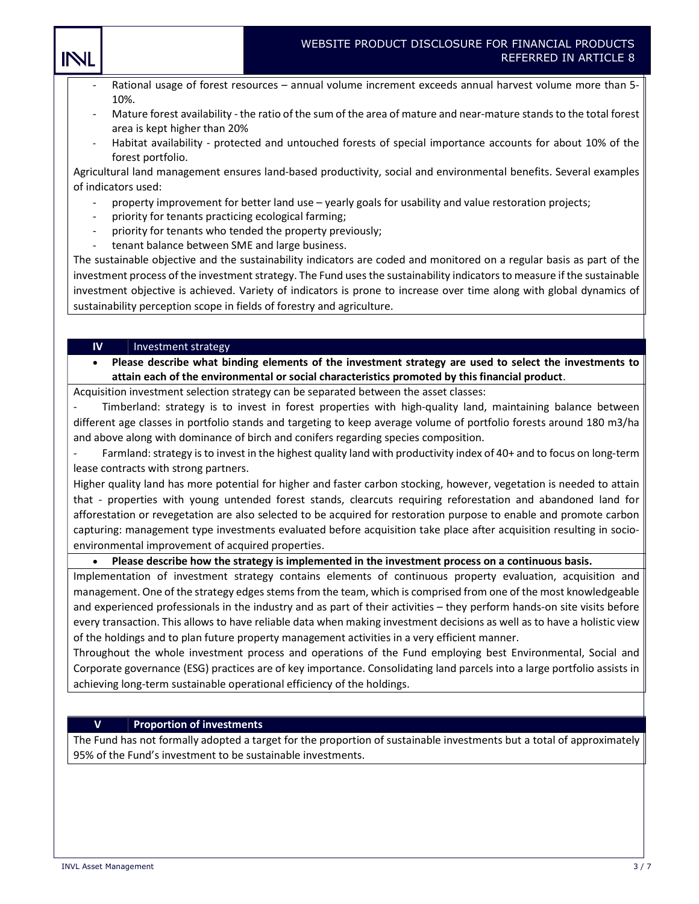- Rational usage of forest resources annual volume increment exceeds annual harvest volume more than 5-10%.
- Mature forest availability the ratio of the sum of the area of mature and near-mature stands to the total forest area is kept higher than 20%
- Habitat availability protected and untouched forests of special importance accounts for about 10% of the forest portfolio.

Agricultural land management ensures land-based productivity, social and environmental benefits. Several examples of indicators used:

- property improvement for better land use yearly goals for usability and value restoration projects;
- priority for tenants practicing ecological farming;
- priority for tenants who tended the property previously;
- tenant balance between SME and large business.

The sustainable objective and the sustainability indicators are coded and monitored on a regular basis as part of the investment process of the investment strategy. The Fund uses the sustainability indicators to measure if the sustainable investment objective is achieved. Variety of indicators is prone to increase over time along with global dynamics of sustainability perception scope in fields of forestry and agriculture.

# $IV$  | Investment strategy

INL

# Please describe what binding elements of the investment strategy are used to select the investments to attain each of the environmental or social characteristics promoted by this financial product.

Acquisition investment selection strategy can be separated between the asset classes:

Timberland: strategy is to invest in forest properties with high-quality land, maintaining balance between different age classes in portfolio stands and targeting to keep average volume of portfolio forests around 180 m3/ha and above along with dominance of birch and conifers regarding species composition.

Farmland: strategy is to invest in the highest quality land with productivity index of 40+ and to focus on long-term lease contracts with strong partners.

Higher quality land has more potential for higher and faster carbon stocking, however, vegetation is needed to attain that - properties with young untended forest stands, clearcuts requiring reforestation and abandoned land for afforestation or revegetation are also selected to be acquired for restoration purpose to enable and promote carbon capturing: management type investments evaluated before acquisition take place after acquisition resulting in socioenvironmental improvement of acquired properties.

# Please describe how the strategy is implemented in the investment process on a continuous basis.

Implementation of investment strategy contains elements of continuous property evaluation, acquisition and management. One of the strategy edges stems from the team, which is comprised from one of the most knowledgeable and experienced professionals in the industry and as part of their activities – they perform hands-on site visits before every transaction. This allows to have reliable data when making investment decisions as well as to have a holistic view of the holdings and to plan future property management activities in a very efficient manner.

Throughout the whole investment process and operations of the Fund employing best Environmental, Social and Corporate governance (ESG) practices are of key importance. Consolidating land parcels into a large portfolio assists in achieving long-term sustainable operational efficiency of the holdings.

# V | Proportion of investments

The Fund has not formally adopted a target for the proportion of sustainable investments but a total of approximately 95% of the Fund's investment to be sustainable investments.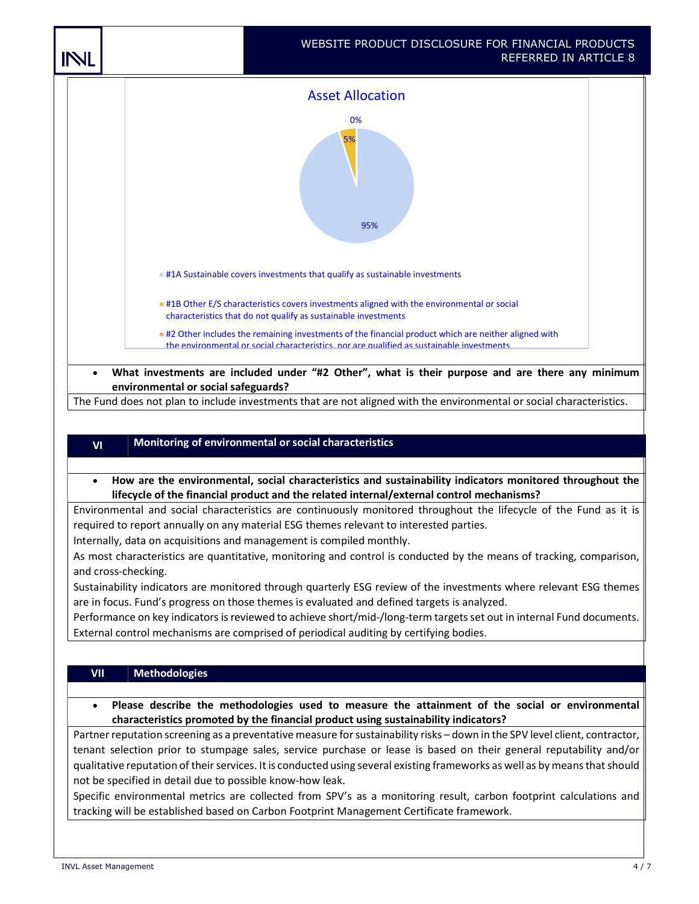

environmental or social safeguards?

The Fund does not plan to include investments that are not aligned with the environmental or social characteristics.

# $V$ I Monitoring of environmental or social characteristics

 How are the environmental, social characteristics and sustainability indicators monitored throughout the lifecycle of the financial product and the related internal/external control mechanisms?

Environmental and social characteristics are continuously monitored throughout the lifecycle of the Fund as it is required to report annually on any material ESG themes relevant to interested parties.

Internally, data on acquisitions and management is compiled monthly.

As most characteristics are quantitative, monitoring and control is conducted by the means of tracking, comparison, and cross-checking.

Sustainability indicators are monitored through quarterly ESG review of the investments where relevant ESG themes are in focus. Fund's progress on those themes is evaluated and defined targets is analyzed.

Performance on key indicators is reviewed to achieve short/mid-/long-term targets set out in internal Fund documents. External control mechanisms are comprised of periodical auditing by certifying bodies.

# VII Methodologies

 Please describe the methodologies used to measure the attainment of the social or environmental characteristics promoted by the financial product using sustainability indicators?

Partner reputation screening as a preventative measure for sustainability risks – down in the SPV level client, contractor, tenant selection prior to stumpage sales, service purchase or lease is based on their general reputability and/or qualitative reputation of their services. It is conducted using several existing frameworks as well as by means that should not be specified in detail due to possible know-how leak.

Specific environmental metrics are collected from SPV's as a monitoring result, carbon footprint calculations and tracking will be established based on Carbon Footprint Management Certificate framework.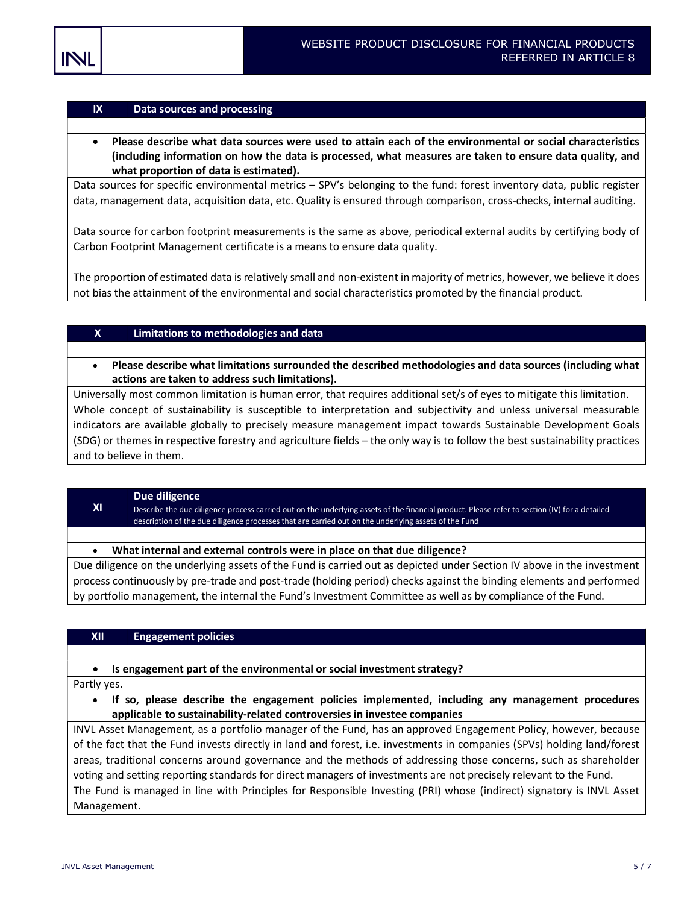#### $IX$  Data sources and processing

 Please describe what data sources were used to attain each of the environmental or social characteristics (including information on how the data is processed, what measures are taken to ensure data quality, and what proportion of data is estimated).

Data sources for specific environmental metrics – SPV's belonging to the fund: forest inventory data, public register data, management data, acquisition data, etc. Quality is ensured through comparison, cross-checks, internal auditing.

Data source for carbon footprint measurements is the same as above, periodical external audits by certifying body of Carbon Footprint Management certificate is a means to ensure data quality.

The proportion of estimated data is relatively small and non-existent in majority of metrics, however, we believe it does not bias the attainment of the environmental and social characteristics promoted by the financial product.

# $X$  | Limitations to methodologies and data

 Please describe what limitations surrounded the described methodologies and data sources (including what actions are taken to address such limitations).

Universally most common limitation is human error, that requires additional set/s of eyes to mitigate this limitation. Whole concept of sustainability is susceptible to interpretation and subjectivity and unless universal measurable indicators are available globally to precisely measure management impact towards Sustainable Development Goals (SDG) or themes in respective forestry and agriculture fields – the only way is to follow the best sustainability practices and to believe in them.

#### XI Due diligence

Describe the due diligence process carried out on the underlying assets of the financial product. Please refer to section (IV) for a detailed description of the due diligence processes that are carried out on the underlying assets of the Fund

#### What internal and external controls were in place on that due diligence?

Due diligence on the underlying assets of the Fund is carried out as depicted under Section IV above in the investment process continuously by pre-trade and post-trade (holding period) checks against the binding elements and performed by portfolio management, the internal the Fund's Investment Committee as well as by compliance of the Fund.

# XII Engagement policies

# • Is engagement part of the environmental or social investment strategy?

Partly yes.

• If so, please describe the engagement policies implemented, including any management procedures applicable to sustainability-related controversies in investee companies

INVL Asset Management, as a portfolio manager of the Fund, has an approved Engagement Policy, however, because of the fact that the Fund invests directly in land and forest, i.e. investments in companies (SPVs) holding land/forest areas, traditional concerns around governance and the methods of addressing those concerns, such as shareholder voting and setting reporting standards for direct managers of investments are not precisely relevant to the Fund. The Fund is managed in line with Principles for Responsible Investing (PRI) whose (indirect) signatory is INVL Asset Management.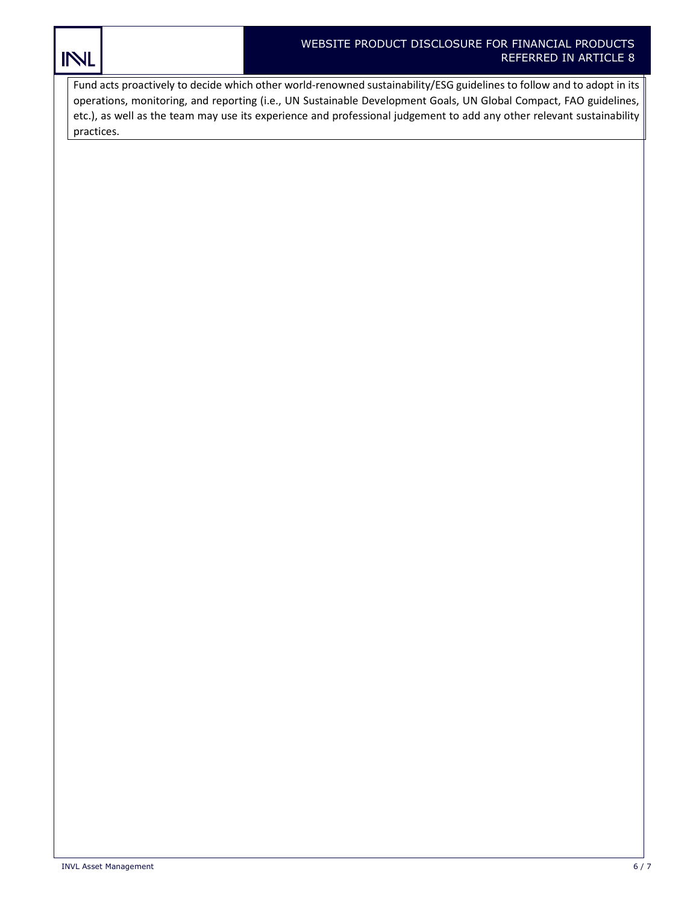Fund acts proactively to decide which other world-renowned sustainability/ESG guidelines to follow and to adopt in its operations, monitoring, and reporting (i.e., UN Sustainable Development Goals, UN Global Compact, FAO guidelines, etc.), as well as the team may use its experience and professional judgement to add any other relevant sustainability practices.

INL